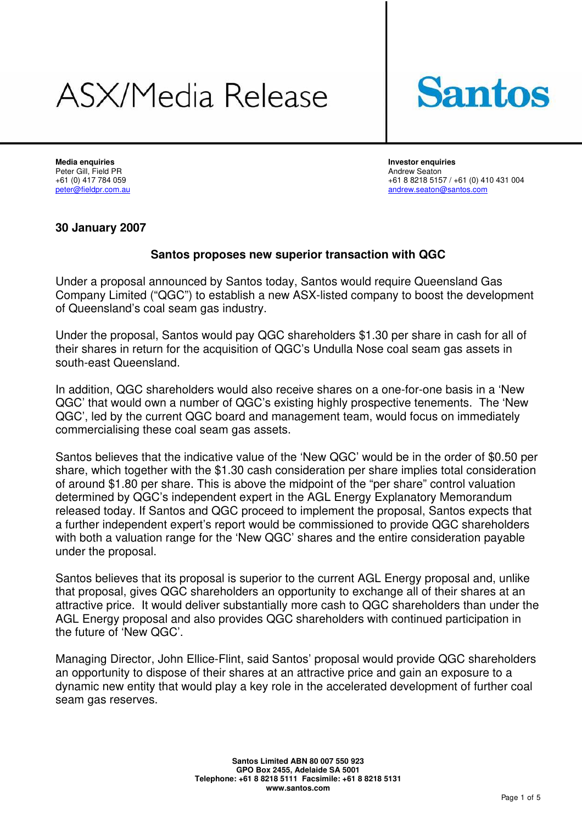# ASX/Media Release



**Media enquiries Investor enquiries**  Peter Gill, Field PR **Andrew Seaton Peter Gill, Field PR** Andrew Seaton

+61 (0) 417 784 059 +61 (0) 417 784 059 +61 (0) 410 431 004 +61 8 8218 5157 / +61 (0) 410 431 004 andrew.seaton@santos.com

## **30 January 2007**

# **Santos proposes new superior transaction with QGC**

Under a proposal announced by Santos today, Santos would require Queensland Gas Company Limited ("QGC") to establish a new ASX-listed company to boost the development of Queensland's coal seam gas industry.

Under the proposal, Santos would pay QGC shareholders \$1.30 per share in cash for all of their shares in return for the acquisition of QGC's Undulla Nose coal seam gas assets in south-east Queensland.

In addition, QGC shareholders would also receive shares on a one-for-one basis in a 'New QGC' that would own a number of QGC's existing highly prospective tenements. The 'New QGC', led by the current QGC board and management team, would focus on immediately commercialising these coal seam gas assets.

Santos believes that the indicative value of the 'New QGC' would be in the order of \$0.50 per share, which together with the \$1.30 cash consideration per share implies total consideration of around \$1.80 per share. This is above the midpoint of the "per share" control valuation determined by QGC's independent expert in the AGL Energy Explanatory Memorandum released today. If Santos and QGC proceed to implement the proposal, Santos expects that a further independent expert's report would be commissioned to provide QGC shareholders with both a valuation range for the 'New QGC' shares and the entire consideration payable under the proposal.

Santos believes that its proposal is superior to the current AGL Energy proposal and, unlike that proposal, gives QGC shareholders an opportunity to exchange all of their shares at an attractive price. It would deliver substantially more cash to QGC shareholders than under the AGL Energy proposal and also provides QGC shareholders with continued participation in the future of 'New QGC'.

Managing Director, John Ellice-Flint, said Santos' proposal would provide QGC shareholders an opportunity to dispose of their shares at an attractive price and gain an exposure to a dynamic new entity that would play a key role in the accelerated development of further coal seam gas reserves.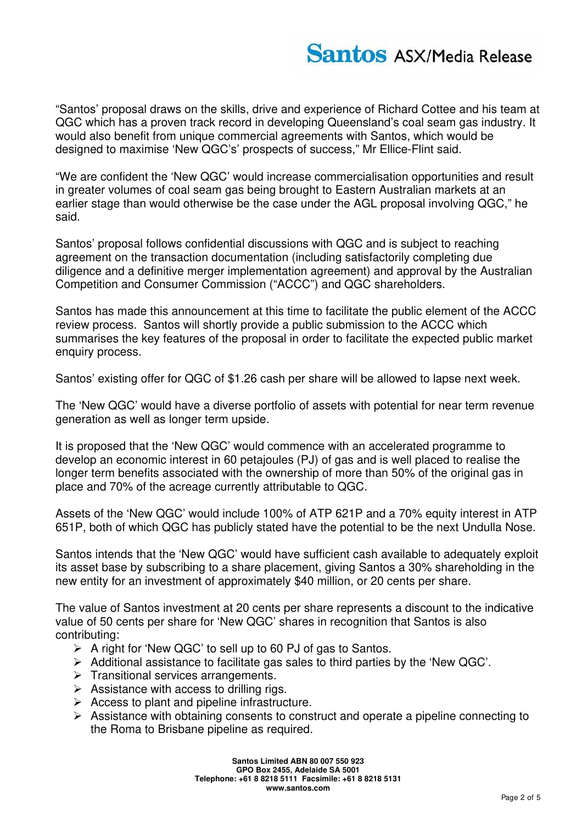# **Santos ASX/Media Release**

"Santos' proposal draws on the skills, drive and experience of Richard Cottee and his team at QGC which has a proven track record in developing Queensland's coal seam gas industry. It would also benefit from unique commercial agreements with Santos, which would be designed to maximise 'New QGC's' prospects of success," Mr Ellice-Flint said.

"We are confident the 'New QGC' would increase commercialisation opportunities and result in greater volumes of coal seam gas being brought to Eastern Australian markets at an earlier stage than would otherwise be the case under the AGL proposal involving QGC," he said.

Santos' proposal follows confidential discussions with QGC and is subject to reaching agreement on the transaction documentation (including satisfactorily completing due diligence and a definitive merger implementation agreement) and approval by the Australian Competition and Consumer Commission ("ACCC") and QGC shareholders.

Santos has made this announcement at this time to facilitate the public element of the ACCC review process. Santos will shortly provide a public submission to the ACCC which summarises the key features of the proposal in order to facilitate the expected public market enquiry process.

Santos' existing offer for QGC of \$1.26 cash per share will be allowed to lapse next week.

The 'New QGC' would have a diverse portfolio of assets with potential for near term revenue generation as well as longer term upside.

It is proposed that the 'New QGC' would commence with an accelerated programme to develop an economic interest in 60 petajoules (PJ) of gas and is well placed to realise the longer term benefits associated with the ownership of more than 50% of the original gas in place and 70% of the acreage currently attributable to QGC.

Assets of the 'New QGC' would include 100% of ATP 621P and a 70% equity interest in ATP 651P, both of which QGC has publicly stated have the potential to be the next Undulla Nose.

Santos intends that the 'New QGC' would have sufficient cash available to adequately exploit its asset base by subscribing to a share placement, giving Santos a 30% shareholding in the new entity for an investment of approximately \$40 million, or 20 cents per share.

The value of Santos investment at 20 cents per share represents a discount to the indicative value of 50 cents per share for 'New QGC' shares in recognition that Santos is also contributing:

- $\triangleright$  A right for 'New QGC' to sell up to 60 PJ of gas to Santos.
- ¾ Additional assistance to facilitate gas sales to third parties by the 'New QGC'.
- $\triangleright$  Transitional services arrangements.
- $\triangleright$  Assistance with access to drilling rigs.
- $\triangleright$  Access to plant and pipeline infrastructure.
- $\triangleright$  Assistance with obtaining consents to construct and operate a pipeline connecting to the Roma to Brisbane pipeline as required.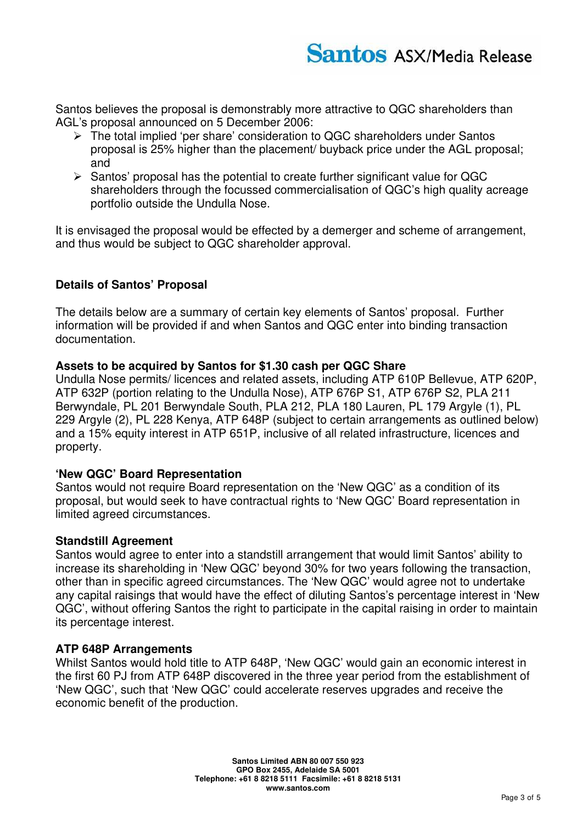Santos believes the proposal is demonstrably more attractive to QGC shareholders than AGL's proposal announced on 5 December 2006:

- $\triangleright$  The total implied 'per share' consideration to QGC shareholders under Santos proposal is 25% higher than the placement/ buyback price under the AGL proposal; and
- $\triangleright$  Santos' proposal has the potential to create further significant value for QGC shareholders through the focussed commercialisation of QGC's high quality acreage portfolio outside the Undulla Nose.

It is envisaged the proposal would be effected by a demerger and scheme of arrangement, and thus would be subject to QGC shareholder approval.

# **Details of Santos' Proposal**

The details below are a summary of certain key elements of Santos' proposal. Further information will be provided if and when Santos and QGC enter into binding transaction documentation.

### **Assets to be acquired by Santos for \$1.30 cash per QGC Share**

Undulla Nose permits/ licences and related assets, including ATP 610P Bellevue, ATP 620P, ATP 632P (portion relating to the Undulla Nose), ATP 676P S1, ATP 676P S2, PLA 211 Berwyndale, PL 201 Berwyndale South, PLA 212, PLA 180 Lauren, PL 179 Argyle (1), PL 229 Argyle (2), PL 228 Kenya, ATP 648P (subject to certain arrangements as outlined below) and a 15% equity interest in ATP 651P, inclusive of all related infrastructure, licences and property.

## **'New QGC' Board Representation**

Santos would not require Board representation on the 'New QGC' as a condition of its proposal, but would seek to have contractual rights to 'New QGC' Board representation in limited agreed circumstances.

#### **Standstill Agreement**

Santos would agree to enter into a standstill arrangement that would limit Santos' ability to increase its shareholding in 'New QGC' beyond 30% for two years following the transaction, other than in specific agreed circumstances. The 'New QGC' would agree not to undertake any capital raisings that would have the effect of diluting Santos's percentage interest in 'New QGC', without offering Santos the right to participate in the capital raising in order to maintain its percentage interest.

#### **ATP 648P Arrangements**

Whilst Santos would hold title to ATP 648P, 'New QGC' would gain an economic interest in the first 60 PJ from ATP 648P discovered in the three year period from the establishment of 'New QGC', such that 'New QGC' could accelerate reserves upgrades and receive the economic benefit of the production.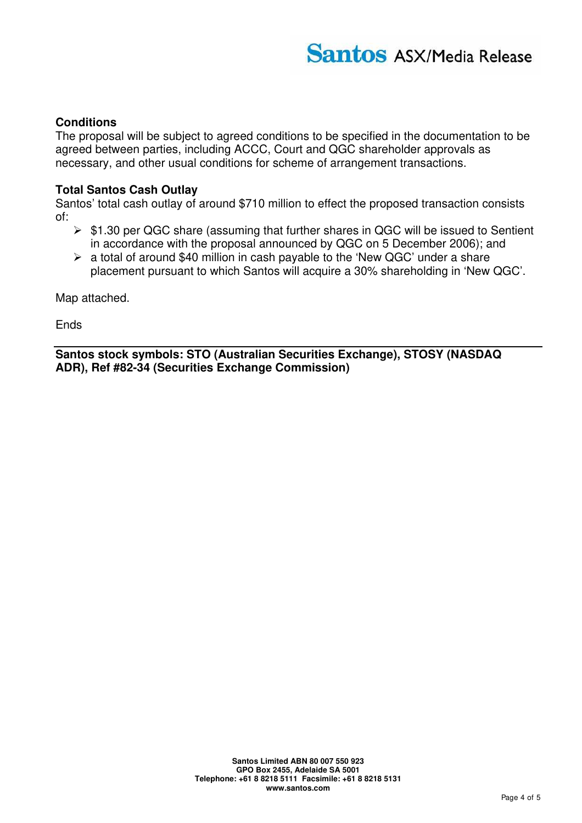# **Conditions**

The proposal will be subject to agreed conditions to be specified in the documentation to be agreed between parties, including ACCC, Court and QGC shareholder approvals as necessary, and other usual conditions for scheme of arrangement transactions.

## **Total Santos Cash Outlay**

Santos' total cash outlay of around \$710 million to effect the proposed transaction consists of:

- $\triangleright$  \$1.30 per QGC share (assuming that further shares in QGC will be issued to Sentient in accordance with the proposal announced by QGC on 5 December 2006); and
- $\triangleright$  a total of around \$40 million in cash payable to the 'New QGC' under a share placement pursuant to which Santos will acquire a 30% shareholding in 'New QGC'.

Map attached.

Ends

**Santos stock symbols: STO (Australian Securities Exchange), STOSY (NASDAQ ADR), Ref #82-34 (Securities Exchange Commission)**